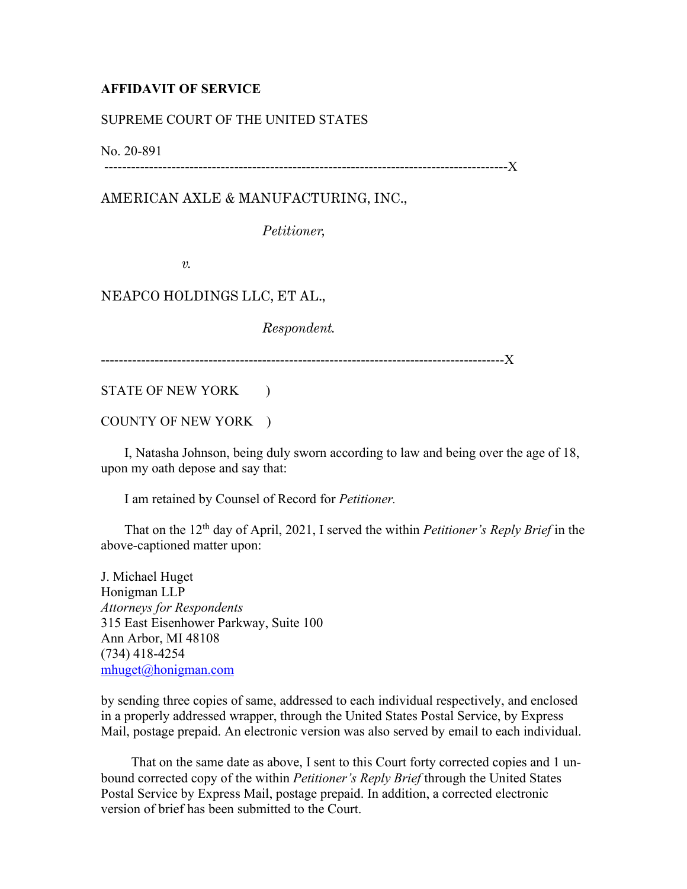## **AFFIDAVIT OF SERVICE**

## SUPREME COURT OF THE UNITED STATES

No. 20-891

------------------------------------------------------------------------------------------X

AMERICAN AXLE & MANUFACTURING, INC.,

*Petitioner,*

*v.*

## NEAPCO HOLDINGS LLC, ET AL.,

*Respondent.*

------------------------------------------------------------------------------------------X

STATE OF NEW YORK )

COUNTY OF NEW YORK )

 I, Natasha Johnson, being duly sworn according to law and being over the age of 18, upon my oath depose and say that:

I am retained by Counsel of Record for *Petitioner.*

 That on the 12th day of April, 2021, I served the within *Petitioner's Reply Brief* in the above-captioned matter upon:

J. Michael Huget Honigman LLP *Attorneys for Respondents* 315 East Eisenhower Parkway, Suite 100 Ann Arbor, MI 48108 (734) 418-4254 [mhuget@honigman.com](mailto:mhuget@honigman.com)

by sending three copies of same, addressed to each individual respectively, and enclosed in a properly addressed wrapper, through the United States Postal Service, by Express Mail, postage prepaid. An electronic version was also served by email to each individual.

 That on the same date as above, I sent to this Court forty corrected copies and 1 unbound corrected copy of the within *Petitioner's Reply Brief* through the United States Postal Service by Express Mail, postage prepaid. In addition, a corrected electronic version of brief has been submitted to the Court.